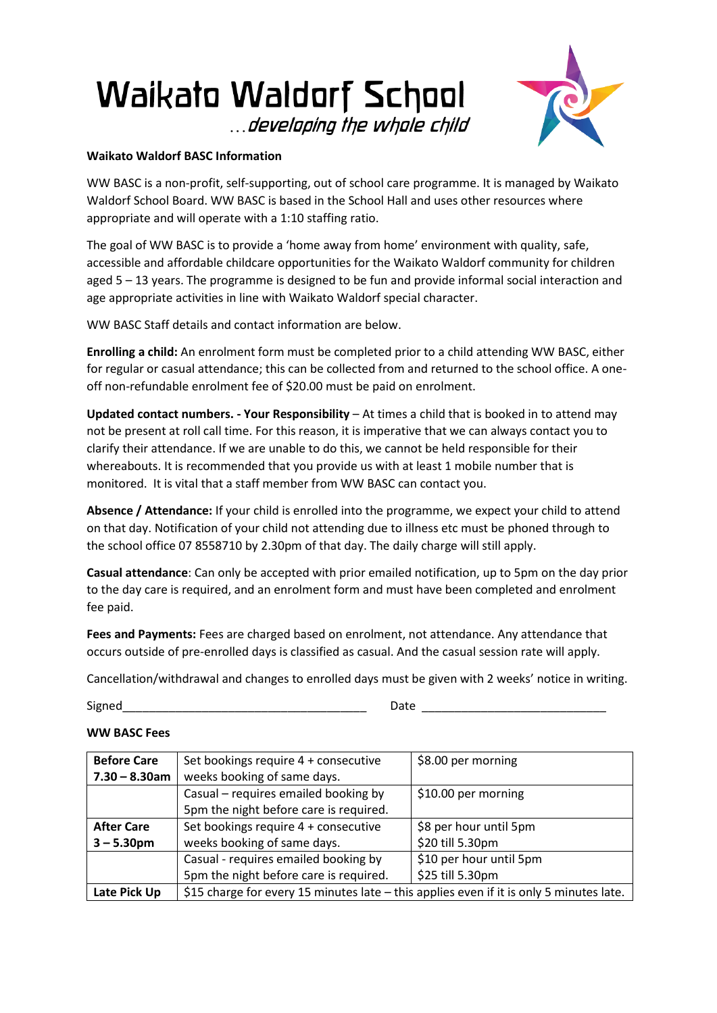## **Waikato Waldorf School** ...developing the whole child



## **Waikato Waldorf BASC Information**

WW BASC is a non-profit, self-supporting, out of school care programme. It is managed by Waikato Waldorf School Board. WW BASC is based in the School Hall and uses other resources where appropriate and will operate with a 1:10 staffing ratio.

The goal of WW BASC is to provide a 'home away from home' environment with quality, safe, accessible and affordable childcare opportunities for the Waikato Waldorf community for children aged 5 – 13 years. The programme is designed to be fun and provide informal social interaction and age appropriate activities in line with Waikato Waldorf special character.

WW BASC Staff details and contact information are below.

**Enrolling a child:** An enrolment form must be completed prior to a child attending WW BASC, either for regular or casual attendance; this can be collected from and returned to the school office. A oneoff non-refundable enrolment fee of \$20.00 must be paid on enrolment.

**Updated contact numbers. - Your Responsibility** – At times a child that is booked in to attend may not be present at roll call time. For this reason, it is imperative that we can always contact you to clarify their attendance. If we are unable to do this, we cannot be held responsible for their whereabouts. It is recommended that you provide us with at least 1 mobile number that is monitored. It is vital that a staff member from WW BASC can contact you.

**Absence / Attendance:** If your child is enrolled into the programme, we expect your child to attend on that day. Notification of your child not attending due to illness etc must be phoned through to the school office 07 8558710 by 2.30pm of that day. The daily charge will still apply.

**Casual attendance**: Can only be accepted with prior emailed notification, up to 5pm on the day prior to the day care is required, and an enrolment form and must have been completed and enrolment fee paid.

**Fees and Payments:** Fees are charged based on enrolment, not attendance. Any attendance that occurs outside of pre-enrolled days is classified as casual. And the casual session rate will apply.

Cancellation/withdrawal and changes to enrolled days must be given with 2 weeks' notice in writing.

Signed **Example 2** and the set of the set of the set of the set of the set of the set of the set of the set of the set of the set of the set of the set of the set of the set of the set of the set of the set of the set of t

## **WW BASC Fees**

| <b>Before Care</b> | Set bookings require 4 + consecutive                                                    | \$8.00 per morning      |
|--------------------|-----------------------------------------------------------------------------------------|-------------------------|
| $7.30 - 8.30$ am   | weeks booking of same days.                                                             |                         |
|                    | Casual – requires emailed booking by                                                    | \$10.00 per morning     |
|                    | 5pm the night before care is required.                                                  |                         |
| <b>After Care</b>  | Set bookings require 4 + consecutive                                                    | \$8 per hour until 5pm  |
| $3 - 5.30$ pm      | weeks booking of same days.                                                             | \$20 till 5.30pm        |
|                    | Casual - requires emailed booking by                                                    | \$10 per hour until 5pm |
|                    | 5pm the night before care is required.                                                  | \$25 till 5.30pm        |
| Late Pick Up       | \$15 charge for every 15 minutes late - this applies even if it is only 5 minutes late. |                         |